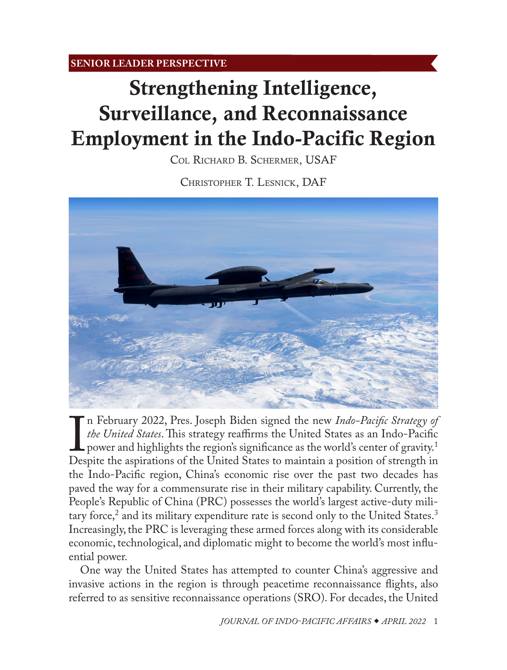<span id="page-0-0"></span>**SENIOR LEADER PERSPECTIVE**

# Strengthening Intelligence, Surveillance, and Reconnaissance Employment in the Indo-Pacific Region

[Col Richard B. Schermer, USAF](#page-7-0)

Christopher T. Lesnick, DAF



*In February 2022*, Fres. Joseph Bluen signed the hew *Thao Facija Strategy of*<br>*the United States*. This strategy reaffirms the United States as an Indo-Pacific<br>power and highlights the region's significance as the world' n February 2022, Pres. Joseph Biden signed the new *Indo-Pacific Strategy of the United States*. This strategy reaffirms the United States as an Indo-Pacific power and highlights the region's significance as the world's center of gravity.<sup>1</sup> the Indo-Pacific region, China's economic rise over the past two decades has paved the way for a commensurate rise in their military capability. Currently, the People's Republic of China (PRC) possesses the world's largest active-duty mili-tary force,<sup>[2](#page-8-0)</sup> and its military expenditure rate is second only to the United States.<sup>3</sup> Increasingly, the PRC is leveraging these armed forces along with its considerable economic, technological, and diplomatic might to become the world's most influential power.

One way the United States has attempted to counter China's aggressive and invasive actions in the region is through peacetime reconnaissance flights, also referred to as sensitive reconnaissance operations (SRO). For decades, the United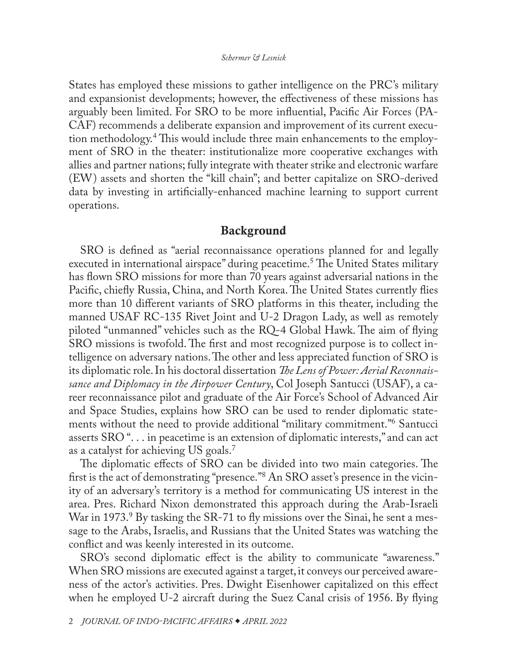<span id="page-1-0"></span>States has employed these missions to gather intelligence on the PRC's military and expansionist developments; however, the effectiveness of these missions has arguably been limited. For SRO to be more influential, Pacific Air Forces (PA-CAF) recommends a deliberate expansion and improvement of its current execution methodology.[4](#page-8-0) This would include three main enhancements to the employment of SRO in the theater: institutionalize more cooperative exchanges with allies and partner nations; fully integrate with theater strike and electronic warfare (EW) assets and shorten the "kill chain"; and better capitalize on SRO-derived data by investing in artificially-enhanced machine learning to support current operations.

## Background

SRO is defined as "aerial reconnaissance operations planned for and legally executed in international airspace" during peacetime.[5](#page-8-0) The United States military has flown SRO missions for more than 70 years against adversarial nations in the Pacific, chiefly Russia, China, and North Korea. The United States currently flies more than 10 different variants of SRO platforms in this theater, including the manned USAF RC-135 Rivet Joint and U-2 Dragon Lady, as well as remotely piloted "unmanned" vehicles such as the RQ-4 Global Hawk. The aim of flying SRO missions is twofold. The first and most recognized purpose is to collect intelligence on adversary nations. The other and less appreciated function of SRO is its diplomatic role. In his doctoral dissertation *The Lens of Power: Aerial Reconnaissance and Diplomacy in the Airpower Century*, Col Joseph Santucci (USAF), a career reconnaissance pilot and graduate of the Air Force's School of Advanced Air and Space Studies, explains how SRO can be used to render diplomatic statements without the need to provide additional "military commitment.["6](#page-8-0) Santucci asserts SRO ". . . in peacetime is an extension of diplomatic interests," and can act as a catalyst for achieving US goals.[7](#page-8-0)

The diplomatic effects of SRO can be divided into two main categories. The first is the act of demonstrating "presence.["8](#page-8-0) An SRO asset's presence in the vicinity of an adversary's territory is a method for communicating US interest in the area. Pres. Richard Nixon demonstrated this approach during the Arab-Israeli War in 1973.<sup>9</sup> By tasking the SR-71 to fly missions over the Sinai, he sent a message to the Arabs, Israelis, and Russians that the United States was watching the conflict and was keenly interested in its outcome.

SRO's second diplomatic effect is the ability to communicate "awareness." When SRO missions are executed against a target, it conveys our perceived awareness of the actor's activities. Pres. Dwight Eisenhower capitalized on this effect when he employed U-2 aircraft during the Suez Canal crisis of 1956. By flying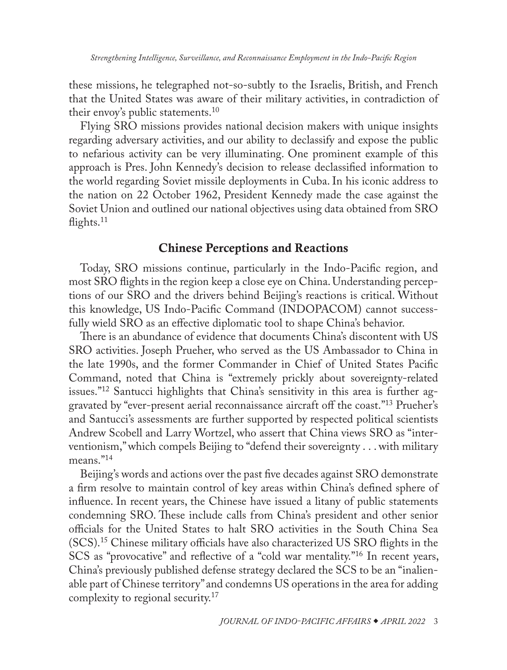<span id="page-2-0"></span>these missions, he telegraphed not-so-subtly to the Israelis, British, and French that the United States was aware of their military activities, in contradiction of their envoy's public statements.<sup>[10](#page-8-0)</sup>

Flying SRO missions provides national decision makers with unique insights regarding adversary activities, and our ability to declassify and expose the public to nefarious activity can be very illuminating. One prominent example of this approach is Pres. John Kennedy's decision to release declassified information to the world regarding Soviet missile deployments in Cuba. In his iconic address to the nation on 22 October 1962, President Kennedy made the case against the Soviet Union and outlined our national objectives using data obtained from SRO flights.<sup>11</sup>

# Chinese Perceptions and Reactions

Today, SRO missions continue, particularly in the Indo-Pacific region, and most SRO flights in the region keep a close eye on China. Understanding perceptions of our SRO and the drivers behind Beijing's reactions is critical. Without this knowledge, US Indo-Pacific Command (INDOPACOM) cannot successfully wield SRO as an effective diplomatic tool to shape China's behavior.

There is an abundance of evidence that documents China's discontent with US SRO activities. Joseph Prueher, who served as the US Ambassador to China in the late 1990s, and the former Commander in Chief of United States Pacific Command, noted that China is "extremely prickly about sovereignty-related issues."[12](#page-8-0) Santucci highlights that China's sensitivity in this area is further aggravated by "ever-present aerial reconnaissance aircraft off the coast."[13](#page-8-0) Prueher's and Santucci's assessments are further supported by respected political scientists Andrew Scobell and Larry Wortzel, who assert that China views SRO as "interventionism," which compels Beijing to "defend their sovereignty . . . with military means.["14](#page-8-0)

Beijing's words and actions over the past five decades against SRO demonstrate a firm resolve to maintain control of key areas within China's defined sphere of influence. In recent years, the Chinese have issued a litany of public statements condemning SRO. These include calls from China's president and other senior officials for the United States to halt SRO activities in the South China Sea (SCS)[.15](#page-8-0) Chinese military officials have also characterized US SRO flights in the SCS as "provocative" and reflective of a "cold war mentality.["16](#page-8-0) In recent years, China's previously published defense strategy declared the SCS to be an "inalienable part of Chinese territory" and condemns US operations in the area for adding complexity to regional security.<sup>17</sup>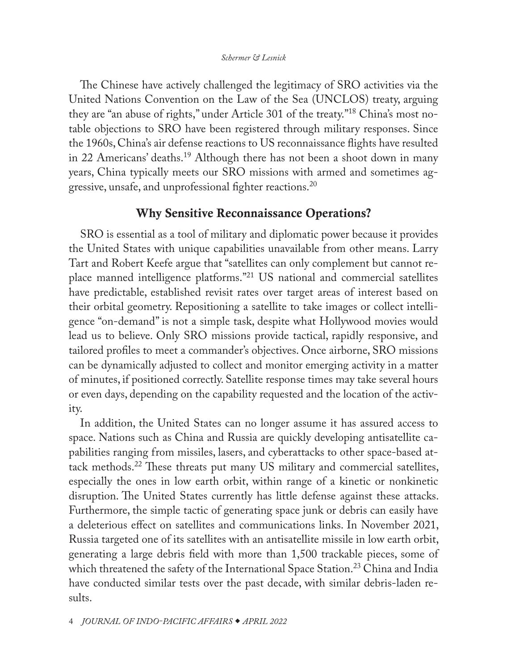## *Schermer & Lesnick*

<span id="page-3-0"></span>The Chinese have actively challenged the legitimacy of SRO activities via the United Nations Convention on the Law of the Sea (UNCLOS) treaty, arguing they are "an abuse of rights," under Article 301 of the treaty.["18](#page-8-0) China's most notable objections to SRO have been registered through military responses. Since the 1960s, China's air defense reactions to US reconnaissance flights have resulted in 22 Americans' deaths.<sup>[19](#page-8-0)</sup> Although there has not been a shoot down in many years, China typically meets our SRO missions with armed and sometimes aggressive, unsafe, and unprofessional fighter reactions[.20](#page-8-0)

# Why Sensitive Reconnaissance Operations?

SRO is essential as a tool of military and diplomatic power because it provides the United States with unique capabilities unavailable from other means. Larry Tart and Robert Keefe argue that "satellites can only complement but cannot replace manned intelligence platforms.["21](#page-9-0) US national and commercial satellites have predictable, established revisit rates over target areas of interest based on their orbital geometry. Repositioning a satellite to take images or collect intelligence "on-demand" is not a simple task, despite what Hollywood movies would lead us to believe. Only SRO missions provide tactical, rapidly responsive, and tailored profiles to meet a commander's objectives. Once airborne, SRO missions can be dynamically adjusted to collect and monitor emerging activity in a matter of minutes, if positioned correctly. Satellite response times may take several hours or even days, depending on the capability requested and the location of the activity.

In addition, the United States can no longer assume it has assured access to space. Nations such as China and Russia are quickly developing antisatellite capabilities ranging from missiles, lasers, and cyberattacks to other space-based attack methods.[22](#page-9-0) These threats put many US military and commercial satellites, especially the ones in low earth orbit, within range of a kinetic or nonkinetic disruption. The United States currently has little defense against these attacks. Furthermore, the simple tactic of generating space junk or debris can easily have a deleterious effect on satellites and communications links. In November 2021, Russia targeted one of its satellites with an antisatellite missile in low earth orbit, generating a large debris field with more than 1,500 trackable pieces, some of which threatened the safety of the International Space Station.<sup>23</sup> China and India have conducted similar tests over the past decade, with similar debris-laden results.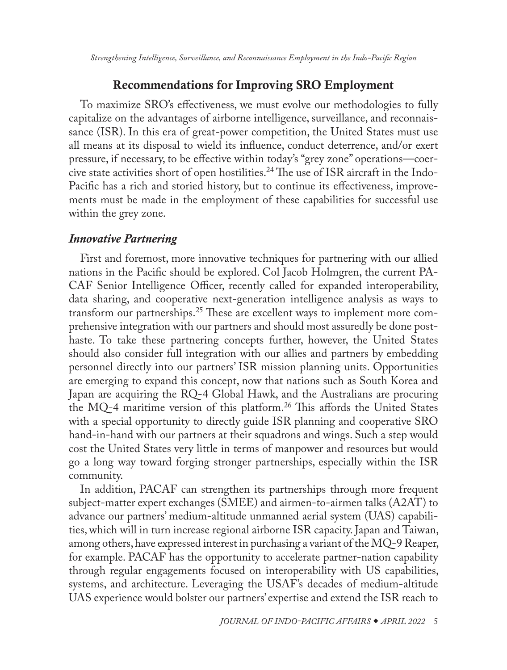# Recommendations for Improving SRO Employment

<span id="page-4-0"></span>To maximize SRO's effectiveness, we must evolve our methodologies to fully capitalize on the advantages of airborne intelligence, surveillance, and reconnaissance (ISR). In this era of great-power competition, the United States must use all means at its disposal to wield its influence, conduct deterrence, and/or exert pressure, if necessary, to be effective within today's "grey zone" operations—coercive state activities short of open hostilities[.24](#page-9-0) The use of ISR aircraft in the Indo-Pacific has a rich and storied history, but to continue its effectiveness, improvements must be made in the employment of these capabilities for successful use within the grey zone.

## *Innovative Partnering*

First and foremost, more innovative techniques for partnering with our allied nations in the Pacific should be explored. Col Jacob Holmgren, the current PA-CAF Senior Intelligence Officer, recently called for expanded interoperability, data sharing, and cooperative next-generation intelligence analysis as ways to transform our partnerships.<sup>25</sup> These are excellent ways to implement more comprehensive integration with our partners and should most assuredly be done posthaste. To take these partnering concepts further, however, the United States should also consider full integration with our allies and partners by embedding personnel directly into our partners' ISR mission planning units. Opportunities are emerging to expand this concept, now that nations such as South Korea and Japan are acquiring the RQ-4 Global Hawk, and the Australians are procuring the MQ-4 maritime version of this platform.[26](#page-9-0) This affords the United States with a special opportunity to directly guide ISR planning and cooperative SRO hand-in-hand with our partners at their squadrons and wings. Such a step would cost the United States very little in terms of manpower and resources but would go a long way toward forging stronger partnerships, especially within the ISR community.

In addition, PACAF can strengthen its partnerships through more frequent subject-matter expert exchanges (SMEE) and airmen-to-airmen talks (A2AT) to advance our partners' medium-altitude unmanned aerial system (UAS) capabilities, which will in turn increase regional airborne ISR capacity. Japan and Taiwan, among others, have expressed interest in purchasing a variant of the MQ-9 Reaper, for example. PACAF has the opportunity to accelerate partner-nation capability through regular engagements focused on interoperability with US capabilities, systems, and architecture. Leveraging the USAF's decades of medium-altitude UAS experience would bolster our partners' expertise and extend the ISR reach to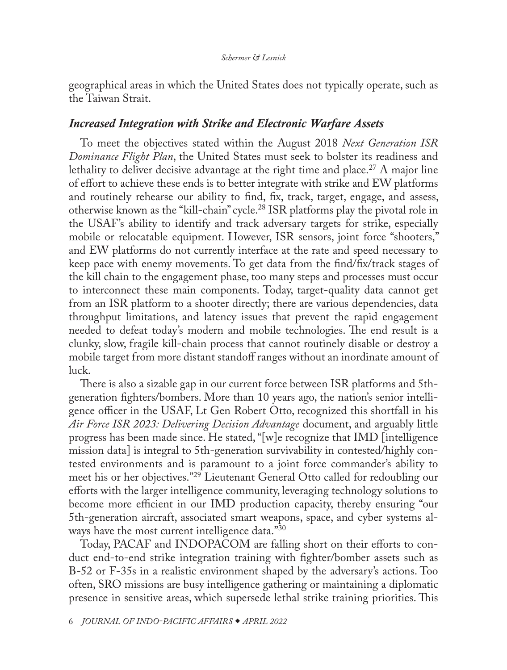<span id="page-5-0"></span>geographical areas in which the United States does not typically operate, such as the Taiwan Strait.

## *Increased Integration with Strike and Electronic Warfare Assets*

To meet the objectives stated within the August 2018 *Next Generation ISR Dominance Flight Plan*, the United States must seek to bolster its readiness and lethality to deliver decisive advantage at the right time and place.<sup>[27](#page-9-0)</sup> A major line of effort to achieve these ends is to better integrate with strike and EW platforms and routinely rehearse our ability to find, fix, track, target, engage, and assess, otherwise known as the "kill-chain" cycle.[28](#page-9-0) ISR platforms play the pivotal role in the USAF's ability to identify and track adversary targets for strike, especially mobile or relocatable equipment. However, ISR sensors, joint force "shooters," and EW platforms do not currently interface at the rate and speed necessary to keep pace with enemy movements. To get data from the find/fix/track stages of the kill chain to the engagement phase, too many steps and processes must occur to interconnect these main components. Today, target-quality data cannot get from an ISR platform to a shooter directly; there are various dependencies, data throughput limitations, and latency issues that prevent the rapid engagement needed to defeat today's modern and mobile technologies. The end result is a clunky, slow, fragile kill-chain process that cannot routinely disable or destroy a mobile target from more distant standoff ranges without an inordinate amount of luck.

There is also a sizable gap in our current force between ISR platforms and 5thgeneration fighters/bombers. More than 10 years ago, the nation's senior intelligence officer in the USAF, Lt Gen Robert Otto, recognized this shortfall in his *Air Force ISR 2023: Delivering Decision Advantage* document, and arguably little progress has been made since. He stated, "[w]e recognize that IMD [intelligence mission data] is integral to 5th-generation survivability in contested/highly contested environments and is paramount to a joint force commander's ability to meet his or her objectives."[29](#page-9-0) Lieutenant General Otto called for redoubling our efforts with the larger intelligence community, leveraging technology solutions to become more efficient in our IMD production capacity, thereby ensuring "our 5th-generation aircraft, associated smart weapons, space, and cyber systems al-ways have the most current intelligence data."[30](#page-9-0)

Today, PACAF and INDOPACOM are falling short on their efforts to conduct end-to-end strike integration training with fighter/bomber assets such as B-52 or F-35s in a realistic environment shaped by the adversary's actions. Too often, SRO missions are busy intelligence gathering or maintaining a diplomatic presence in sensitive areas, which supersede lethal strike training priorities. This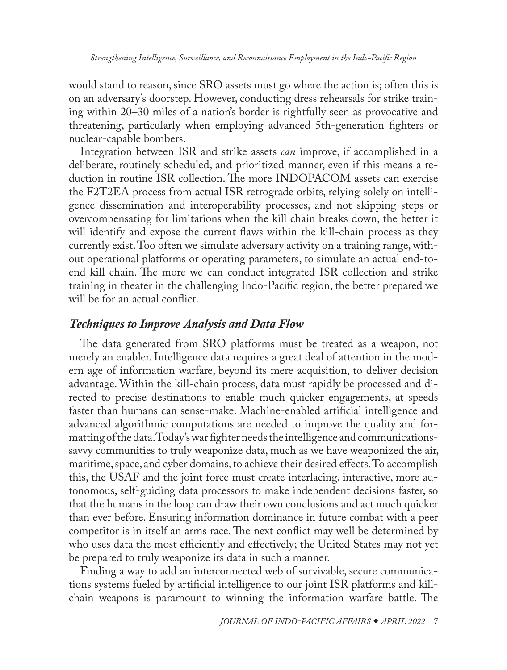would stand to reason, since SRO assets must go where the action is; often this is on an adversary's doorstep. However, conducting dress rehearsals for strike training within 20–30 miles of a nation's border is rightfully seen as provocative and threatening, particularly when employing advanced 5th-generation fighters or nuclear-capable bombers.

Integration between ISR and strike assets *can* improve, if accomplished in a deliberate, routinely scheduled, and prioritized manner, even if this means a reduction in routine ISR collection. The more INDOPACOM assets can exercise the F2T2EA process from actual ISR retrograde orbits, relying solely on intelligence dissemination and interoperability processes, and not skipping steps or overcompensating for limitations when the kill chain breaks down, the better it will identify and expose the current flaws within the kill-chain process as they currently exist. Too often we simulate adversary activity on a training range, without operational platforms or operating parameters, to simulate an actual end-toend kill chain. The more we can conduct integrated ISR collection and strike training in theater in the challenging Indo-Pacific region, the better prepared we will be for an actual conflict.

# *Techniques to Improve Analysis and Data Flow*

The data generated from SRO platforms must be treated as a weapon, not merely an enabler. Intelligence data requires a great deal of attention in the modern age of information warfare, beyond its mere acquisition, to deliver decision advantage. Within the kill-chain process, data must rapidly be processed and directed to precise destinations to enable much quicker engagements, at speeds faster than humans can sense-make. Machine-enabled artificial intelligence and advanced algorithmic computations are needed to improve the quality and formatting of the data. Today's war fighter needs the intelligence and communicationssavvy communities to truly weaponize data, much as we have weaponized the air, maritime, space, and cyber domains, to achieve their desired effects. To accomplish this, the USAF and the joint force must create interlacing, interactive, more autonomous, self-guiding data processors to make independent decisions faster, so that the humans in the loop can draw their own conclusions and act much quicker than ever before. Ensuring information dominance in future combat with a peer competitor is in itself an arms race. The next conflict may well be determined by who uses data the most efficiently and effectively; the United States may not yet be prepared to truly weaponize its data in such a manner.

Finding a way to add an interconnected web of survivable, secure communications systems fueled by artificial intelligence to our joint ISR platforms and killchain weapons is paramount to winning the information warfare battle. The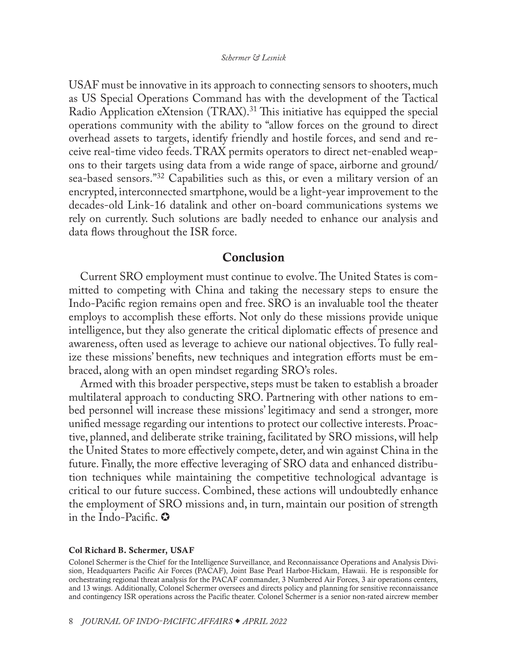<span id="page-7-0"></span>USAF must be innovative in its approach to connecting sensors to shooters, much as US Special Operations Command has with the development of the Tactical Radio Application eXtension (TRAX)[.31](#page-9-0) This initiative has equipped the special operations community with the ability to "allow forces on the ground to direct overhead assets to targets, identify friendly and hostile forces, and send and receive real-time video feeds. TRAX permits operators to direct net-enabled weapons to their targets using data from a wide range of space, airborne and ground/ sea-based sensors."[32](#page-9-0) Capabilities such as this, or even a military version of an encrypted, interconnected smartphone, would be a light-year improvement to the decades-old Link-16 datalink and other on-board communications systems we rely on currently. Such solutions are badly needed to enhance our analysis and data flows throughout the ISR force.

## Conclusion

Current SRO employment must continue to evolve. The United States is committed to competing with China and taking the necessary steps to ensure the Indo-Pacific region remains open and free. SRO is an invaluable tool the theater employs to accomplish these efforts. Not only do these missions provide unique intelligence, but they also generate the critical diplomatic effects of presence and awareness, often used as leverage to achieve our national objectives. To fully realize these missions' benefits, new techniques and integration efforts must be embraced, along with an open mindset regarding SRO's roles.

Armed with this broader perspective, steps must be taken to establish a broader multilateral approach to conducting SRO. Partnering with other nations to embed personnel will increase these missions' legitimacy and send a stronger, more unified message regarding our intentions to protect our collective interests. Proactive, planned, and deliberate strike training, facilitated by SRO missions, will help the United States to more effectively compete, deter, and win against China in the future. Finally, the more effective leveraging of SRO data and enhanced distribution techniques while maintaining the competitive technological advantage is critical to our future success. Combined, these actions will undoubtedly enhance the employment of SRO missions and, in turn, maintain our position of strength in the Indo-Pacific.  $\bullet$ 

#### [Col Richard B. Schermer, USAF](#page-0-0)

Colonel Schermer is the Chief for the Intelligence Surveillance, and Reconnaissance Operations and Analysis Division, Headquarters Pacific Air Forces (PACAF), Joint Base Pearl Harbor-Hickam, Hawaii. He is responsible for orchestrating regional threat analysis for the PACAF commander, 3 Numbered Air Forces, 3 air operations centers, and 13 wings. Additionally, Colonel Schermer oversees and directs policy and planning for sensitive reconnaissance and contingency ISR operations across the Pacific theater. Colonel Schermer is a senior non-rated aircrew member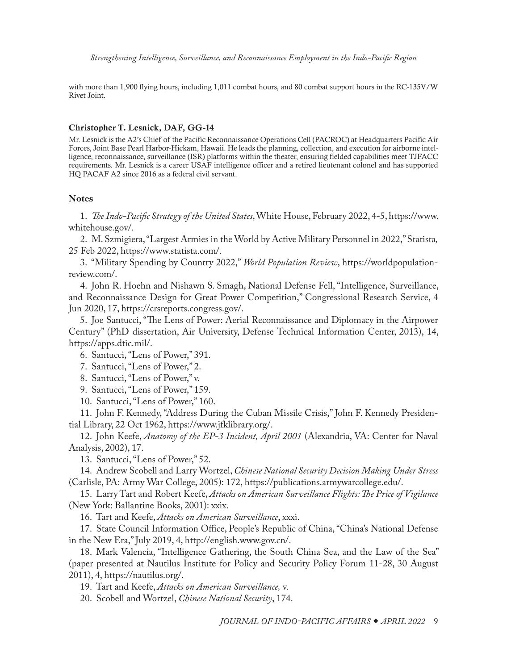<span id="page-8-0"></span>with more than 1,900 flying hours, including 1,011 combat hours, and 80 combat support hours in the RC-135V/W Rivet Joint.

#### [Christopher T. Lesnick, DAF, GG-14](#page-0-0)

Mr. Lesnick is the A2's Chief of the Pacific Reconnaissance Operations Cell (PACROC) at Headquarters Pacific Air Forces, Joint Base Pearl Harbor-Hickam, Hawaii. He leads the planning, collection, and execution for airborne intelligence, reconnaissance, surveillance (ISR) platforms within the theater, ensuring fielded capabilities meet TJFACC requirements. Mr. Lesnick is a career USAF intelligence officer and a retired lieutenant colonel and has supported HQ PACAF A2 since 2016 as a federal civil servant.

### **Notes**

[1](#page-0-0). *The Indo-Pacific Strategy of the United States*, White House, February 2022, 4-5, [https://www.](https://www.whitehouse.gov/wp-content/uploads/2022/02/U.S.-Indo-Pacific-Strategy.pdf) [whitehouse.gov/.](https://www.whitehouse.gov/wp-content/uploads/2022/02/U.S.-Indo-Pacific-Strategy.pdf)

[2](#page-0-0). M. Szmigiera, "Largest Armies in the World by Active Military Personnel in 2022," Statista*,* 25 Feb 2022, [https://www.statista.com/.](https://www.statista.com/statistics/264443/the-worlds-largest-armies-based-on-active-force-level/)

[3](#page-0-0). "Military Spending by Country 2022," *World Population Review*, [https://worldpopulation](https://worldpopulationreview.com/country-rankings/military-spending-by-country)[review.com/](https://worldpopulationreview.com/country-rankings/military-spending-by-country).

[4](#page-1-0). John R. Hoehn and Nishawn S. Smagh, National Defense Fell, "Intelligence, Surveillance, and Reconnaissance Design for Great Power Competition," Congressional Research Service, 4 Jun 2020, 17, [https://crsreports.congress.gov/.](https://crsreports.congress.gov/product/pdf/R/R46389/3)

[5](#page-1-0). Joe Santucci, "The Lens of Power: Aerial Reconnaissance and Diplomacy in the Airpower Century" (PhD dissertation, Air University, Defense Technical Information Center, 2013), 14, [https://apps.dtic.mil/](https://apps.dtic.mil/dtic/tr/fulltext/u2/a615679.pdf).

[6](#page-1-0). Santucci, "Lens of Power," 391.

[7](#page-1-0). Santucci, "Lens of Power," 2.

[8](#page-1-0). Santucci, "Lens of Power," v.

[9](#page-1-0). Santucci, "Lens of Power," 159.

[10](#page-2-0). Santucci, "Lens of Power," 160.

[11](#page-2-0). John F. Kennedy, "Address During the Cuban Missile Crisis," John F. Kennedy Presidential Library, 22 Oct 1962, [https://www.jfklibrary.org/](https://www.jfklibrary.org/learn/about-jfk/historic-speeches/address-during-the-cuban-missile-crisis).

[12](#page-2-0). John Keefe, *Anatomy of the EP-3 Incident, April 2001* (Alexandria, VA: Center for Naval Analysis, 2002), 17.

[13](#page-2-0). Santucci, "Lens of Power," 52.

[14](#page-2-0). Andrew Scobell and Larry Wortzel, *Chinese National Security Decision Making Under Stress* (Carlisle, PA: Army War College, 2005): 172, [https://publications.armywarcollege.edu/](https://publications.armywarcollege.edu/pubs/1726.pdf).

[15](#page-2-0). Larry Tart and Robert Keefe, *Attacks on American Surveillance Flights: The Price of Vigilance* (New York: Ballantine Books, 2001): xxix.

[16](#page-2-0). Tart and Keefe, *Attacks on American Surveillance*, xxxi.

[17](#page-2-0). State Council Information Office, People's Republic of China, "China's National Defense in the New Era," July 2019, 4, [http://english.www.gov.cn/.](http://english.www.gov.cn/archive/whitepaper/201907/24/content_WS5d3941ddc6d08408f502283d.html)

[18](#page-3-0). Mark Valencia, "Intelligence Gathering, the South China Sea, and the Law of the Sea" (paper presented at Nautilus Institute for Policy and Security Policy Forum 11-28, 30 August 2011), 4, [https://nautilus.org/](https://nautilus.org/napsnet/napsnet-polic-forum/intelligence-gathering-the-south-china-sea-and-the-law-of-the-sea/).

[19](#page-3-0). Tart and Keefe, *Attacks on American Surveillance,* v.

[20](#page-3-0). Scobell and Wortzel, *Chinese National Security*, 174.